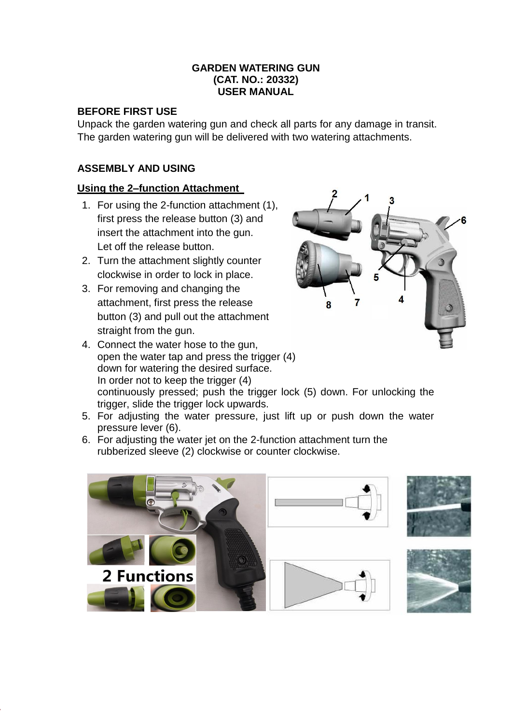#### **GARDEN WATERING GUN (CAT. NO.: 20332) USER MANUAL**

## **BEFORE FIRST USE**

Unpack the garden watering gun and check all parts for any damage in transit. The garden watering gun will be delivered with two watering attachments.

# **ASSEMBLY AND USING**

## **Using the 2–function Attachment**

- 1. For using the 2-function attachment (1), first press the release button (3) and insert the attachment into the gun. Let off the release button.
- 2. Turn the attachment slightly counter clockwise in order to lock in place.
- 3. For removing and changing the attachment, first press the release button (3) and pull out the attachment straight from the gun.
- 4. Connect the water hose to the gun, open the water tap and press the trigger (4) down for watering the desired surface. In order not to keep the trigger (4) continuously pressed; push the trigger lock (5) down. For unlocking the trigger, slide the trigger lock upwards.



- 5. For adjusting the water pressure, just lift up or push down the water pressure lever (6).
- 6. For adjusting the water jet on the 2-function attachment turn the rubberized sleeve (2) clockwise or counter clockwise.





8





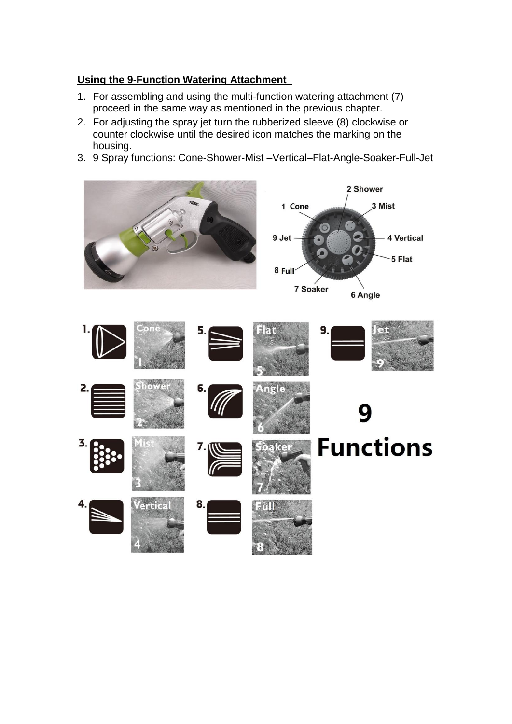## **Using the 9-Function Watering Attachment**

- 1. For assembling and using the multi-function watering attachment (7) proceed in the same way as mentioned in the previous chapter.
- 2. For adjusting the spray jet turn the rubberized sleeve (8) clockwise or counter clockwise until the desired icon matches the marking on the housing.
- 3. 9 Spray functions: Cone-Shower-Mist –Vertical–Flat-Angle-Soaker-Full-Jet